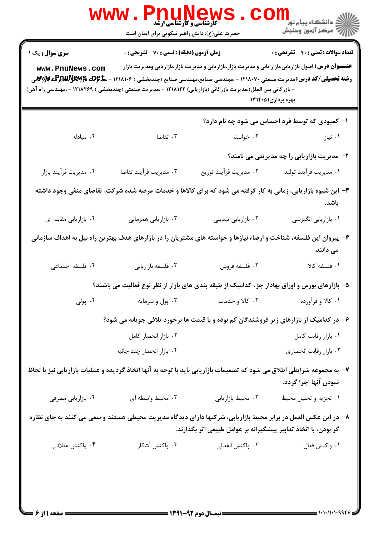| <b>تعداد سوالات : تستي : 40 - تشريحي : 0</b>                                                                                                                                     |                                                                                                                                                                                                                                                                            | زمان آزمون (دقیقه) : تستی : 70 گشریحی : 0 | سری سوال: یک ۱                                                                                                                     |
|----------------------------------------------------------------------------------------------------------------------------------------------------------------------------------|----------------------------------------------------------------------------------------------------------------------------------------------------------------------------------------------------------------------------------------------------------------------------|-------------------------------------------|------------------------------------------------------------------------------------------------------------------------------------|
| بهره برداری۱۳۱۴۰۵۱                                                                                                                                                               | <b>عنــــوان درس:</b> اصول بازاریابی،بازار یابی و مدیریت بازار،بازاریابی و مدیریت بازار،بازاریابی ومدیریت بازار<br><b>رشته تحصیلی/کد درس:</b> مدیریت صنعتی ۱۲۱۸۰۷۰ - ،مهندسی صنایع،مهندسی صنایع (چندبخشی ) ۱۲۱۸۱۰۶ - ، <del>ما</del> چو <b>یت پایالایایی</b> لایی پایالایی |                                           | www.PnuNews.com<br>- بازرگانی بین الملل)،مدیریت بازرگانی (بازاریابی) ۱۲۱۸۱۲۲ - ،مدیریت صنعتی (چندبخشی ) ۱۲۱۸۲۶۹ - ،مهندسی راه آهن) |
| ۱– کمبودی که توسط فرد احساس می شود چه نام دارد؟                                                                                                                                  |                                                                                                                                                                                                                                                                            |                                           |                                                                                                                                    |
| ۰۱ نیاز                                                                                                                                                                          | ۰۲ خواسته                                                                                                                                                                                                                                                                  | ۰۳ تقاضا                                  | .۴ مبادله                                                                                                                          |
| ۲– مدیریت بازاریابی را چه مدیریتی می نامند؟                                                                                                                                      |                                                                                                                                                                                                                                                                            |                                           |                                                                                                                                    |
| ۰۱ مدیریت فرآیند تولید                                                                                                                                                           | ۰۲ مديريت فرآيند توزيع                                                                                                                                                                                                                                                     | ٠٣ مديريت فرآيند تقاضا                    | ۰۴ مديريت فرأيند بازار                                                                                                             |
| ۳- این شیوه بازاریابی، زمانی به کار گرفته می شود که برای کالاها و خدمات عرضه شده شرکت، تقاضای منفی وجود داشته<br>باشد.                                                           |                                                                                                                                                                                                                                                                            |                                           |                                                                                                                                    |
| ٠١. بازاريابي انگيزشي                                                                                                                                                            | ۰۲ بازاریابی تبدیلی                                                                                                                                                                                                                                                        | ۰۳ بازاریابی همزمانی                      | ۰۴ بازاریابی مقابله ای                                                                                                             |
| می دانند.                                                                                                                                                                        | ۴– پیروان این فلسفه، شناخت و ارضاء نیازها و خواسته های مشتریان را در بازارهای هدف بهترین راه نیل به اهداف سازمانی                                                                                                                                                          |                                           |                                                                                                                                    |
| ٠١ فلسفه كالا                                                                                                                                                                    | ۰۲ فلسفه فروش                                                                                                                                                                                                                                                              | ۰۳ فلسفه بازاريابي                        | ۰۴ فلسفه اجتماعی                                                                                                                   |
|                                                                                                                                                                                  | ۵– بازارهای بورس و اوراق بهادار جزء کدامیک از طبقه بندی های بازار از نظر نوع فعالیت می باشند؟                                                                                                                                                                              |                                           |                                                                                                                                    |
| ۰۱ کالا و فرآورده                                                                                                                                                                | ۰۲ کالا و خدمات                                                                                                                                                                                                                                                            | ۰۳ پول و سرمايه                           | ۰۴ پولی                                                                                                                            |
|                                                                                                                                                                                  | ۶– در کدامیک از بازارهای زیر فروشندگان کم بوده و با قیمت ها برخورد تلافی جویانه می شود؟                                                                                                                                                                                    |                                           |                                                                                                                                    |
| ٠١. بازار رقابت كامل                                                                                                                                                             |                                                                                                                                                                                                                                                                            | ٠٢ بازار انحصار كامل                      |                                                                                                                                    |
| ۰۳ بازار رقابت انحصارى                                                                                                                                                           |                                                                                                                                                                                                                                                                            | ۰۴ بازار انحصار چند جانبه                 |                                                                                                                                    |
| نمودن آنها اجرا گردد.                                                                                                                                                            |                                                                                                                                                                                                                                                                            |                                           | ۷- به مجموعه شرایطی اطلاق می شود که تصمیمات بازاریابی باید با توجه به آنها اتخاذ گردیده و عملیات بازاریابی نیز با لحاظ             |
| ٠١ تجزيه وتحليل محيط                                                                                                                                                             | ٠٢ محيط بازاريابي                                                                                                                                                                                                                                                          | ۰۳ محیط واسطه ای                          | ۰۴ بازاریابی مصرفی                                                                                                                 |
| ۸– در این عکس العمل در برابر محیط بازاریابی، شرکتها دارای دیدگاه مدیریت محیطی هستند و سعی می کنند به جای نظاره<br>گر بودن، با اتخاذ تدابیر پیشگیرانه بر عوامل طبیعی اثر بگذارند. |                                                                                                                                                                                                                                                                            |                                           |                                                                                                                                    |
| ٠١. واكنش فعال                                                                                                                                                                   | ۰۲ واکنش انفعالی                                                                                                                                                                                                                                                           | ۰۳ واکنش آشکار                            | ۰۴ واكنش عقلائي                                                                                                                    |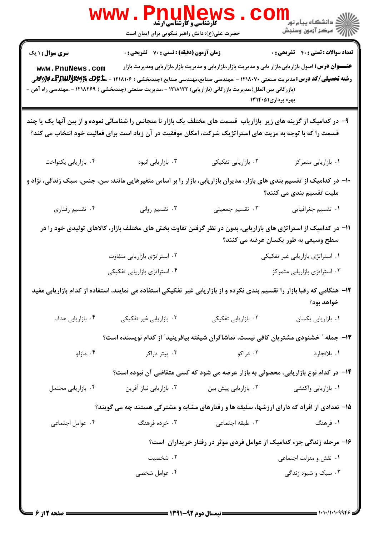|                                                                                                                                                   | <b>www.PnuNews</b><br><b>گارشناسی و کارشناسی ارشد</b><br>حضرت علی(ع): دانش راهبر نیکویی برای ایمان است                                                                                                                                                                                                  |                                                                                                                                       |                                              |  |
|---------------------------------------------------------------------------------------------------------------------------------------------------|---------------------------------------------------------------------------------------------------------------------------------------------------------------------------------------------------------------------------------------------------------------------------------------------------------|---------------------------------------------------------------------------------------------------------------------------------------|----------------------------------------------|--|
| <b>سری سوال : ۱ یک</b><br>www.PnuNews.com                                                                                                         | زمان آزمون (دقیقه) : تستی : 70 گشریحی : 0<br><b>رشته تحصیلی/کد درس:</b> مدیریت صنعتی ۱۲۱۸۰۷۰ - ،مهندسی صنایع،مهندسی صنایع (چندبخشی ) ۱۲۱۸۱۰۶ - ، <b>ماچیت بگلایلیاییچی بازالات</b> ی<br>(بازرگانی بین الملل)،مدیریت بازرگانی (بازاریابی) ۱۲۱۸۱۲۲ - ،مدیریت صنعتی (چندبخشی ) ۱۲۱۸۲۶۹ - ،مهندسی راه آهن - | <b>عنــــوان درس:</b> اصول بازاریابی،بازار یابی و مدیریت بازار،بازاریابی و مدیریت بازار،بازاریابی ومدیریت بازار<br>بهره برداری۱۳۱۴۰۵۱ | <b>تعداد سوالات : تستي : 40 - تشريحي : 0</b> |  |
|                                                                                                                                                   | ۹- در کدامیک از گزینه های زیر بازاریاب قسمت های مختلف یک بازار نا متجانس را شناسائی نموده و از بین آنها یک یا چند<br>قسمت را که با توجه به مزیت های استراتژیک شرکت، امکان موفقیت در آن زیاد است برای فعالیت خود انتخاب می کند؟                                                                          |                                                                                                                                       |                                              |  |
| ۰۴ بازاريابي يكنواخت                                                                                                                              | ۰۳ بازاریابی انبوه                                                                                                                                                                                                                                                                                      | ۰۲ بازاریابی تفکیکی                                                                                                                   | ٠١. بازاريابي متمركز                         |  |
| ∙۱− در کدامیک از تقسیم بندی های بازار، مدیران بازاریابی، بازار را بر اساس متغیرهایی مانند: سن، جنس، سبک زندگی، نژاد و<br>ملیت تقسیم بندی می کنند؟ |                                                                                                                                                                                                                                                                                                         |                                                                                                                                       |                                              |  |
| ۰۴ تقسیم رفتاری                                                                                                                                   | ۰۳ تقسیم روانی                                                                                                                                                                                                                                                                                          | ٢. تقسيم جمعيتي                                                                                                                       | ٠١ تقسيم جغرافيايي                           |  |
|                                                                                                                                                   | 11– در کدامیک از استراتژی های بازاریابی، بدون در نظر گرفتن تفاوت بخش های مختلف بازار، کالاهای تولیدی خود را در                                                                                                                                                                                          |                                                                                                                                       | سطح وسیعی به طور یکسان عرضه می کنند؟         |  |
|                                                                                                                                                   | ۰۲ استراتژی بازاریابی متفاوت                                                                                                                                                                                                                                                                            |                                                                                                                                       | ۰۱ استراتژی بازاریابی غیر تفکیکی             |  |
|                                                                                                                                                   | ۰۴ استراتژی بازاریابی تفکیکی                                                                                                                                                                                                                                                                            |                                                                                                                                       | ۰۳ استراتژی بازاریابی متمرکز                 |  |
|                                                                                                                                                   | ۱۲– هنگامی که رقبا بازار را تقسیم بندی نکرده و از بازاریابی غیر تفکیکی استفاده می نمایند، استفاده از کدام بازاریابی مفید                                                                                                                                                                                |                                                                                                                                       | خواهد بود؟                                   |  |
| ۰۴ بازاریابی هدف                                                                                                                                  | ۰۳ بازاریابی غیر تفکیکی                                                                                                                                                                                                                                                                                 | ۰۲ بازاریابی تفکیکی                                                                                                                   | ٠١ بازاريابي يكسان                           |  |
|                                                                                                                                                   | ۱۳– جمله ″ خشنودی مشتریان کافی نیست، تماشاگران شیفته بیافرینید″ از کدام نویسنده است؟                                                                                                                                                                                                                    |                                                                                                                                       |                                              |  |
| ۰۴ مازلو                                                                                                                                          | ۰۳ پیتر دراکر                                                                                                                                                                                                                                                                                           | ۰۲ دراکو                                                                                                                              | ۰۱ بلانچارد                                  |  |
|                                                                                                                                                   | ۱۴– در کدام نوع بازاریابی، محصولی به بازار عرضه می شود که کسی متقاضی آن نبوده است؟                                                                                                                                                                                                                      |                                                                                                                                       |                                              |  |
| ۰۴ بازاریابی محتمل                                                                                                                                | ۰۳ بازاریابی نیاز آفرین                                                                                                                                                                                                                                                                                 | ۰۲ بازاریابی پیش بین                                                                                                                  | ۰۱ بازاریابی واکنشی                          |  |
|                                                                                                                                                   | ۱۵- تعدادی از افراد که دارای ارزشها، سلیقه ها و رفتارهای مشابه و مشترکی هستند چه می گویند؟                                                                                                                                                                                                              |                                                                                                                                       |                                              |  |
| ۰۴ عوامل اجتماعی                                                                                                                                  | ۰۳ خرده فرهنگ                                                                                                                                                                                                                                                                                           | ٠٢ طبقه اجتماعي                                                                                                                       | ۱. فرهنگ                                     |  |
|                                                                                                                                                   |                                                                                                                                                                                                                                                                                                         | ۱۶– مرحله زندگی جزء کدامیک از عوامل فردی موثر در رفتار خریداران است؟                                                                  |                                              |  |
|                                                                                                                                                   | ۰۲ شخصیت                                                                                                                                                                                                                                                                                                |                                                                                                                                       | ٠١ نقش و منزلت اجتماعي                       |  |
|                                                                                                                                                   | ۰۴ عوامل شخصی                                                                                                                                                                                                                                                                                           |                                                                                                                                       | ۰۳ سبک و شیوه زندگی                          |  |
|                                                                                                                                                   |                                                                                                                                                                                                                                                                                                         |                                                                                                                                       |                                              |  |

 $= 1.1.1111995$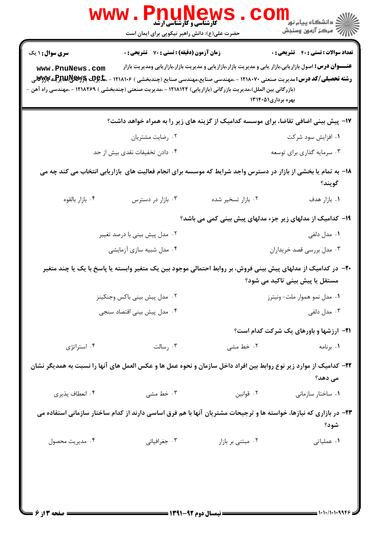|                                                                                                                              | <b>WWW . PNUNEWS</b><br>حضرت علی(ع): دانش راهبر نیکویی برای ایمان است |                                                                                                                                             | ر دانشڪاه پيام نور <mark>−</mark><br>ر <i>ا</i> =<br>رکز آزمون وسنڊش |  |
|------------------------------------------------------------------------------------------------------------------------------|-----------------------------------------------------------------------|---------------------------------------------------------------------------------------------------------------------------------------------|----------------------------------------------------------------------|--|
| <b>سری سوال : ۱ یک</b>                                                                                                       | زمان آزمون (دقیقه) : تستی : 70 گشریحی : 0                             |                                                                                                                                             | <b>تعداد سوالات : تستی : 40 قشریحی : 0</b>                           |  |
| www.PnuNews.com                                                                                                              |                                                                       | <b>عنـــوان درس:</b> اصول بازاریابی،بازار یابی و مدیریت بازار،بازاریابی و مدیریت بازار،بازاریابی ومدیریت بازار                              |                                                                      |  |
| (بازرگانی بین الملل)،مدیریت بازرگانی (بازاریابی) ۱۲۱۸۱۲۲ - ،مدیریت صنعتی (چندبخشی ) ۱۲۱۸۲۶۹ - ،مهندسی راه آهن -              |                                                                       | <b>رشته تحصیلی/کد درس:</b> مدیریت صنعتی ۱۲۱۸۰۷۰ - ،مهندسی صنایع،مهندسی صنایع (چندبخشی ) ۱۲۱۸۱۰۶ - ، <b>ماچیت بایلاتیلاتیپایا بایران</b> ایی |                                                                      |  |
|                                                                                                                              |                                                                       | بهره برداری۱۳۱۴۰۵۱                                                                                                                          |                                                                      |  |
|                                                                                                                              |                                                                       | ۱۷– پیش بینی اضافی تقاضا، برای موسسه کدامیک از گزینه های زیر را به همراه خواهد داشت؟                                                        |                                                                      |  |
|                                                                                                                              | ۰۲ رضایت مشتریان                                                      |                                                                                                                                             | ۰۱ افزایش سود شرکت                                                   |  |
|                                                                                                                              | ۰۴ دادن تخفیفات نقدی بیش از حد                                        |                                                                                                                                             | ۰۳ سرمایه گذاری برای توسعه                                           |  |
| ۱۸– به تمام یا بخشی از بازار در دسترس واجد شرایط که موسسه برای انجام فعالیت های بازاریابی انتخاب می کند چه می<br>گويند؟      |                                                                       |                                                                                                                                             |                                                                      |  |
| ۰۴ بازار بالقوه                                                                                                              | ۰۳ بازار در دسترس                                                     | ۰۲ بازار تسخیر شده                                                                                                                          | ۰۱. بازار هدف                                                        |  |
| ۱۹- کدامیک از مدلهای زیر جزء مدلهای پیش بینی کمی می باشد؟                                                                    |                                                                       |                                                                                                                                             |                                                                      |  |
|                                                                                                                              | ۰۲ مدل پیش بینی با درصد تغییر                                         |                                                                                                                                             | ۰۱ مدل دلفی                                                          |  |
|                                                                                                                              | ۰۴ مدل شبیه سازی آزمایشی                                              |                                                                                                                                             | ۰۳ مدل بررسی قصد خریداران                                            |  |
|                                                                                                                              |                                                                       | +۲- در کدامیک از مدلهای پیش بینی فروش، بر روابط احتمالی موجود بین یک متغیر وابسته یا پاسخ با یک یا چند متغیر                                | مستقل یا پیش بینی تاکید می شود؟                                      |  |
|                                                                                                                              | ۰۲ مدل پیش بینی باکس وجنکینز                                          |                                                                                                                                             | ۰۱ مدل نمو هموار ملت– ونیترز                                         |  |
|                                                                                                                              | ۰۴ مدل پیش بینی اقتصاد سنجی                                           |                                                                                                                                             | ۰۳ مدل دلفی                                                          |  |
|                                                                                                                              |                                                                       |                                                                                                                                             | <b>۲۱- ارزشها و باورهای یک شرکت کدام است</b> ؟                       |  |
| ۰۴ استراتژی                                                                                                                  | ۰۳ رسالت                                                              | ۰۲ خط مشی                                                                                                                                   | ٠١. برنامه                                                           |  |
| ۲۲– کدامیک از موارد زیر نوع روابط بین افراد داخل سازمان و نحوه عمل ها و عکس العمل های آنها را نسبت به همدیگر نشان<br>می دهد؟ |                                                                       |                                                                                                                                             |                                                                      |  |
| ۰۴ انعطاف پذیری                                                                                                              | ۰۳ خط مشی                                                             | ۰۲ قوانين                                                                                                                                   | ۰۱ ساختار سازمانی                                                    |  |
|                                                                                                                              |                                                                       | ۲۳– در بازاری که نیازها، خواسته ها و ترجیحات مشتریان آنها با هم فرق اساسی دارند از کدام ساختار سازمانی استفاده می                           |                                                                      |  |
|                                                                                                                              |                                                                       |                                                                                                                                             | شود؟                                                                 |  |
| ۰۴ مديريت محصول                                                                                                              | ۰۳ جغرافیائی                                                          | ٠٢ مبتنى بر بازار                                                                                                                           | ٠١. عملياتي                                                          |  |
|                                                                                                                              |                                                                       |                                                                                                                                             |                                                                      |  |
|                                                                                                                              |                                                                       |                                                                                                                                             |                                                                      |  |
|                                                                                                                              |                                                                       |                                                                                                                                             |                                                                      |  |
| $=$ 9:17 is a                                                                                                                |                                                                       | = 1391-97 منذ 1491 =                                                                                                                        | ۱۰۱۰/۱۰۱۰۹۹۴۶                                                        |  |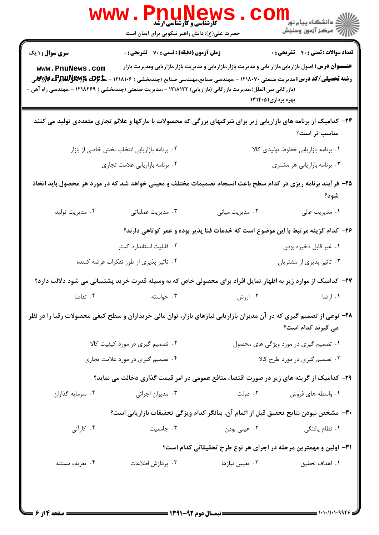| <b>WWW</b> .                                                                                                                               | <b>PNUNEWS</b><br><b>گارشناسی و کارشناسی ارشد</b><br>حضرت علی(ع): دانش راهبر نیکویی برای ایمان است                                                                                                                                                             |                                                                                  | <sup>ار</sup> دانشڪاه پيام نور "<br>  <i>  </i>  <br>   √ مرڪز آزمون وسنڊش |
|--------------------------------------------------------------------------------------------------------------------------------------------|----------------------------------------------------------------------------------------------------------------------------------------------------------------------------------------------------------------------------------------------------------------|----------------------------------------------------------------------------------|----------------------------------------------------------------------------|
| <b>سری سوال : ۱ یک</b>                                                                                                                     | <b>زمان آزمون (دقیقه) : تستی : 70 ٪ تشریحی : 0</b>                                                                                                                                                                                                             |                                                                                  | <b>تعداد سوالات : تستي : 40 - تشريحي : 0</b>                               |
| www.PnuNews.com                                                                                                                            | <b>عنـــوان درس:</b> اصول بازاریابی،بازار یابی و مدیریت بازار،بازاریابی و مدیریت بازار،بازاریابی ومدیریت بازار                                                                                                                                                 |                                                                                  |                                                                            |
|                                                                                                                                            | <b>رشته تحصیلی/کد درس:</b> مدیریت صنعتی ۱۲۱۸۰۷۰ - ،مهندسی صنایع،مهندسی صنایع (چندبخشی ) ۱۲۱۸۱۰۶ - ،م <b>لیویت بالایلیمپریلی بالایوت</b> انی<br>(بازرگانی بین الملل)،مدیریت بازرگانی (بازاریابی) ۱۲۱۸۱۲۲ - ،مدیریت صنعتی (چندبخشی ) ۱۲۱۸۲۶۹ - ،مهندسی راه آهن - | بهره برداری۱۳۱۴۰۵۱                                                               |                                                                            |
|                                                                                                                                            | <b>۳۴</b> - کدامیک از برنامه های بازاریابی زیر برای شرکتهای بزرگی که محصولات با مارکها و علائم تجاری متعددی تولید می کنند                                                                                                                                      |                                                                                  | مناسب تر است؟                                                              |
|                                                                                                                                            | ۰۲ برنامه بازاریابی انتخاب بخش خاصی از بازار                                                                                                                                                                                                                   |                                                                                  | ۰۱ برنامه بازاریابی خطوط تولیدی کالا                                       |
|                                                                                                                                            | ۰۴ برنامه بازاريابي علامت تجاري                                                                                                                                                                                                                                |                                                                                  | ۰۳ برنامه بازاریابی هر مشتری                                               |
|                                                                                                                                            | ۲۵– فرآیند برنامه ریزی در کدام سطح باعث انسجام تصمیمات مختلف و معینی خواهد شد که در مورد هر محصول باید اتخاذ                                                                                                                                                   |                                                                                  | شود؟                                                                       |
| ۰۴ مدیریت تولید                                                                                                                            | ۰۳ مدیریت عملیاتی                                                                                                                                                                                                                                              | ۰۲ مدیریت میانی                                                                  | ۰۱ مدیریت عالی                                                             |
|                                                                                                                                            |                                                                                                                                                                                                                                                                | ۲۶- کدام گزینه مرتبط با این موضوع است که خدمات فنا پذیر بوده و عمر کوتاهی دارند؟ |                                                                            |
|                                                                                                                                            | ۰۲ قابلیت استاندارد کمتر                                                                                                                                                                                                                                       |                                                                                  | ٠١ غير قابل ذخيره بودن                                                     |
|                                                                                                                                            | ۰۴ تاثیر پذیری از طرز تفکرات عرضه کننده                                                                                                                                                                                                                        |                                                                                  | ۰۳ تاثیر پذیری از مشتریان                                                  |
|                                                                                                                                            | ۲۷– کدامیک از موارد زیر به اظهار تمایل افراد برای محصولی خاص که به وسیله قدرت خرید پشتیبانی می شود دلالت دارد؟                                                                                                                                                 |                                                                                  |                                                                            |
| ۴. تقاضا                                                                                                                                   | ۲ ارزش میسته است. تواسته                                                                                                                                                                                                                                       |                                                                                  | ۰۱ ارضا                                                                    |
| ۲۸- نوعی از تصمیم گیری که در آن مدیران بازاریابی نیازهای بازار، توان مالی خریداران و سطح کیفی محصولات رقبا را در نظر<br>می گیرند کدام است؟ |                                                                                                                                                                                                                                                                |                                                                                  |                                                                            |
|                                                                                                                                            | ۰۲ تصمیم گیری در مورد کیفیت کالا<br>۰۱ تصمیم گیری در مورد ویژگی های محصول                                                                                                                                                                                      |                                                                                  |                                                                            |
| ۰۴ تصمیم گیری در مورد علامت تجاری                                                                                                          |                                                                                                                                                                                                                                                                | ۰۳ تصمیم گیری در مورد طرح کالا                                                   |                                                                            |
|                                                                                                                                            | <b>۲۹</b> - کدامیک از گزینه های زیر در صورت اقتضاء منافع عمومی در امر قیمت گذاری دخالت می نماید؟                                                                                                                                                               |                                                                                  |                                                                            |
| ۰۴ سرمایه گذاران                                                                                                                           | ۰۳ مدیران اجرائی                                                                                                                                                                                                                                               | ۰۲ دولت                                                                          | ۰۱ واسطه های فروش                                                          |
|                                                                                                                                            | ٣٠- مشخص نبودن نتايج تحقيق قبل از اتمام آن، بيانگر كدام ويژگي تحقيقات بازاريابي است؟                                                                                                                                                                           |                                                                                  |                                                                            |
| ۰۴ کارآئی                                                                                                                                  | ۰۳ جامعیت                                                                                                                                                                                                                                                      | ۰۲ عینی بودن                                                                     | ۰۱ نظام یافتگی                                                             |
|                                                                                                                                            |                                                                                                                                                                                                                                                                | ۳۱– اولین و مهمترین مرحله در اجرای هر نوع طرح تحقیقاتی کدام است؟                 |                                                                            |
| ۰۴ تعریف مسئله                                                                                                                             | ۰۳ پردازش اطلاعات                                                                                                                                                                                                                                              | ۰۲ تعیین نیازها                                                                  | ٠١. اهداف تحقيق                                                            |
| $= 9.19$ in $=$                                                                                                                            |                                                                                                                                                                                                                                                                | $\frac{1}{2}$ (1941-47 a.s. 11a) $\frac{1}{2}$                                   | $= 1.1.11.1.9999$                                                          |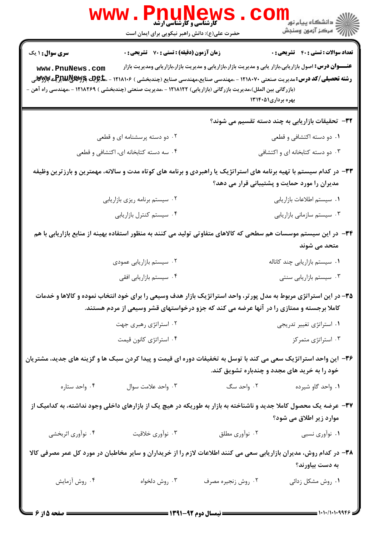| $\mathbf{www.}$                                                                                                                                                                                                                                            | Pnunews<br>حضرت علی(ع): دانش راهبر نیکویی برای ایمان است                                                         |                                                                                                                                                                                                             | ر دانشگاه پيام نور <mark>− 1</mark><br>ر <i>و دانشگاه پي</i> ام نور |  |  |
|------------------------------------------------------------------------------------------------------------------------------------------------------------------------------------------------------------------------------------------------------------|------------------------------------------------------------------------------------------------------------------|-------------------------------------------------------------------------------------------------------------------------------------------------------------------------------------------------------------|---------------------------------------------------------------------|--|--|
| <b>سری سوال : ۱ یک</b>                                                                                                                                                                                                                                     | <b>زمان آزمون (دقیقه) : تستی : 70 قشریحی : 0</b>                                                                 |                                                                                                                                                                                                             | <b>تعداد سوالات : تستي : 40 - تشريحي : 0</b>                        |  |  |
| www.PnuNews.com                                                                                                                                                                                                                                            |                                                                                                                  | <b>عنـــوان درس:</b> اصول بازاریابی،بازار یابی و مدیریت بازار،بازاریابی و مدیریت بازار،بازاریابی ومدیریت بازار                                                                                              |                                                                     |  |  |
| <b>رشته تحصیلی/کد درس:</b> مدیریت صنعتی ۱۲۱۸۰۷۰ - ،مهندسی صنایع،مهندسی صنایع (چندبخشی ) ۱۲۱۸۱۰۶ - ،م <b>لیویت بولیسی بولی بولی</b><br>.<br>(بازرگانی بین الملل)،مدیریت بازرگانی (بازاریابی) ۱۲۱۸۱۲۲ - ،مدیریت صنعتی (چندبخشی ) ۱۲۱۸۲۶۹ - ،مهندسی راه آهن – |                                                                                                                  | بهره برداری۱۳۱۴۰۵۱                                                                                                                                                                                          |                                                                     |  |  |
|                                                                                                                                                                                                                                                            |                                                                                                                  |                                                                                                                                                                                                             | ۳۲- تحقیقات بازاریابی به چند دسته تقسیم می شوند؟                    |  |  |
|                                                                                                                                                                                                                                                            | ۰۲ دو دسته پرسشنامه ای و قطعی                                                                                    |                                                                                                                                                                                                             | ۰۱ دو دسته اکتشافی و قطعی                                           |  |  |
|                                                                                                                                                                                                                                                            | ۰۴ سه دسته کتابخانه ای، اکتشافی و قطعی                                                                           |                                                                                                                                                                                                             | ۰۳ دو دسته کتابخانه ای و اکتشافی                                    |  |  |
| ۳۳– در کدام سیستم با تهیه برنامه های استراتژیک یا راهبردی و برنامه های کوتاه مدت و سالانه، مهمترین و بارزترین وظیفه<br>مدیران را مورد حمایت و پشتیبانی قرار می دهد؟                                                                                        |                                                                                                                  |                                                                                                                                                                                                             |                                                                     |  |  |
|                                                                                                                                                                                                                                                            | ۰۲ سیستم برنامه ریزی بازاریابی                                                                                   |                                                                                                                                                                                                             | ٠١ سيستم اطلاعات بازاريابي                                          |  |  |
|                                                                                                                                                                                                                                                            | ۰۴ سیستم کنترل بازاریابی                                                                                         |                                                                                                                                                                                                             | ۰۳ سیستم سازمانی بازاریابی                                          |  |  |
|                                                                                                                                                                                                                                                            | ۳۴– در این سیستم موسسات هم سطحی که کالاهای متفاوتی تولید می کنند به منظور استفاده بهینه از منابع بازاریابی با هم |                                                                                                                                                                                                             |                                                                     |  |  |
|                                                                                                                                                                                                                                                            |                                                                                                                  |                                                                                                                                                                                                             | متحد می شوند                                                        |  |  |
|                                                                                                                                                                                                                                                            | ۰۲ سیستم بازاریابی عمودی<br>۰۴ سیستم بازاریابی افقی                                                              |                                                                                                                                                                                                             | ۰۱ سیستم بازاریابی چند کاناله<br>۰۳ سیستم بازاریابی سنتی            |  |  |
|                                                                                                                                                                                                                                                            |                                                                                                                  |                                                                                                                                                                                                             |                                                                     |  |  |
|                                                                                                                                                                                                                                                            |                                                                                                                  | ۳۵– در این استراتژی مربوط به مدل پورتر، واحد استراتژیک بازار هدف وسیعی را برای خود انتخاب نموده و کالاها و خدمات<br>کاملا برجسته و ممتازی را در آنها عرضه می کند که جزو درخواستهای قشر وسیعی از مردم هستند. |                                                                     |  |  |
|                                                                                                                                                                                                                                                            | ۰۲ استراتژی رهبری جهت                                                                                            |                                                                                                                                                                                                             | ۰۱ استراتژی تغییر تدریجی                                            |  |  |
|                                                                                                                                                                                                                                                            | ۰۴ استراتژی کانون قیمت                                                                                           |                                                                                                                                                                                                             | ۰۳ استراتژی متمرکز                                                  |  |  |
| ۳۶– این واحد استراتژیک سعی می کند با توسل به تخفیفات دوره ای قیمت و پیدا کردن سبک ها و گزینه های جدید، مشتریان                                                                                                                                             |                                                                                                                  |                                                                                                                                                                                                             | خود را به خرید های مجدد و چندباره تشویق کند.                        |  |  |
| ۰۴ واحد ستاره                                                                                                                                                                                                                                              | ۰۳ واحد علامت سوال                                                                                               | ۰۲ واحد سگ                                                                                                                                                                                                  | ۰۱ واحد گاو شیرده                                                   |  |  |
| ۳۷– عرضه یک محصول کاملا جدید و ناشناخته به بازار به طوریکه در هیچ یک از بازارهای داخلی وجود نداشته، به کدامیک از<br>موارد زیر اطلاق می شود؟                                                                                                                |                                                                                                                  |                                                                                                                                                                                                             |                                                                     |  |  |
| ۰۴ نوأوري اثربخشي                                                                                                                                                                                                                                          | ۰۳ نوآوري خلاقيت                                                                                                 | ۰۲ نوآوري مطلق                                                                                                                                                                                              | ۰۱ نوآوري نسبي                                                      |  |  |
| ۳۸– در کدام روش، مدیران بازاریابی سعی می کنند اطلاعات لازم را از خریداران و سایر مخاطبان در مورد کل عمر مصرفی کالا                                                                                                                                         |                                                                                                                  |                                                                                                                                                                                                             | به دست بیاورند؟                                                     |  |  |
| ۰۴ روش آزمایش                                                                                                                                                                                                                                              | ۰۳ روش دلخواه                                                                                                    | ۰۲ روش زنجیره مصرف                                                                                                                                                                                          | ۰۱ روش مشکل زدائی                                                   |  |  |
|                                                                                                                                                                                                                                                            |                                                                                                                  |                                                                                                                                                                                                             | 1.1.1.1.999c                                                        |  |  |